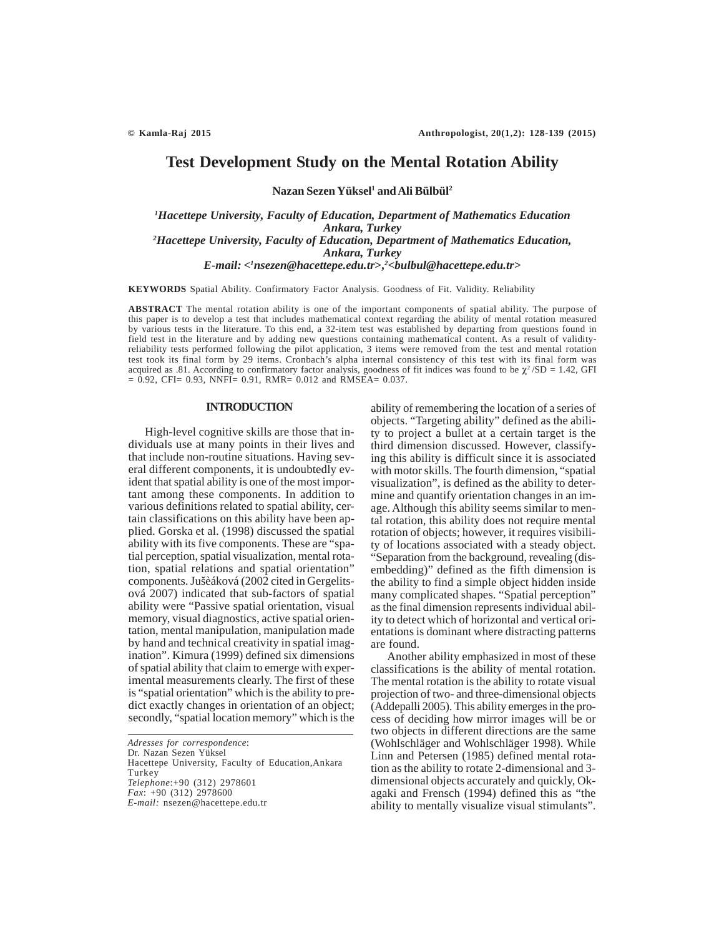# **Test Development Study on the Mental Rotation Ability**

**Nazan Sezen Yüksel1 and Ali Bülbül2**

*1 Hacettepe University, Faculty of Education, Department of Mathematics Education Ankara, Turkey 2 Hacettepe University, Faculty of Education, Department of Mathematics Education, Ankara, Turkey E-mail: <1 nsezen@hacettepe.edu.tr***>,***<sup>2</sup> <bulbul@hacettepe.edu.tr***>**

**KEYWORDS** Spatial Ability. Confirmatory Factor Analysis. Goodness of Fit. Validity. Reliability

**ABSTRACT** The mental rotation ability is one of the important components of spatial ability. The purpose of this paper is to develop a test that includes mathematical context regarding the ability of mental rotation measured by various tests in the literature. To this end, a 32-item test was established by departing from questions found in field test in the literature and by adding new questions containing mathematical content. As a result of validityreliability tests performed following the pilot application, 3 items were removed from the test and mental rotation test took its final form by 29 items. Cronbach's alpha internal consistency of this test with its final form was acquired as .81. According to confirmatory factor analysis, goodness of fit indices was found to be  $\chi^2$ /SD = 1.42, GFI  $= 0.92$ , CFI $= 0.93$ , NNFI $= 0.91$ , RMR $= 0.012$  and RMSEA $= 0.037$ .

# **INTRODUCTION**

High-level cognitive skills are those that individuals use at many points in their lives and that include non-routine situations. Having several different components, it is undoubtedly evident that spatial ability is one of the most important among these components. In addition to various definitions related to spatial ability, certain classifications on this ability have been applied. Gorska et al. (1998) discussed the spatial ability with its five components. These are "spatial perception, spatial visualization, mental rotation, spatial relations and spatial orientation" components. Jušèáková (2002 cited in Gergelitsová 2007) indicated that sub-factors of spatial ability were "Passive spatial orientation, visual memory, visual diagnostics, active spatial orientation, mental manipulation, manipulation made by hand and technical creativity in spatial imagination". Kimura (1999) defined six dimensions of spatial ability that claim to emerge with experimental measurements clearly. The first of these is "spatial orientation" which is the ability to predict exactly changes in orientation of an object; secondly, "spatial location memory" which is the

*Adresses for correspondence*:

Dr. Nazan Sezen Yüksel

Hacettepe University, Faculty of Education,Ankara Turkey *Telephone*:+90 (312) 2978601

*Fax*: +90 (312) 2978600

*E-mail:* nsezen@hacettepe.edu.tr

ability of remembering the location of a series of objects. "Targeting ability" defined as the ability to project a bullet at a certain target is the third dimension discussed. However, classifying this ability is difficult since it is associated with motor skills. The fourth dimension, "spatial visualization", is defined as the ability to determine and quantify orientation changes in an image. Although this ability seems similar to mental rotation, this ability does not require mental rotation of objects; however, it requires visibility of locations associated with a steady object. "Separation from the background, revealing (disembedding)" defined as the fifth dimension is the ability to find a simple object hidden inside many complicated shapes. "Spatial perception" as the final dimension represents individual ability to detect which of horizontal and vertical orientations is dominant where distracting patterns are found.

Another ability emphasized in most of these classifications is the ability of mental rotation. The mental rotation is the ability to rotate visual projection of two- and three-dimensional objects (Addepalli 2005). This ability emerges in the process of deciding how mirror images will be or two objects in different directions are the same (Wohlschläger and Wohlschläger 1998). While Linn and Petersen (1985) defined mental rotation as the ability to rotate 2-dimensional and 3 dimensional objects accurately and quickly, Okagaki and Frensch (1994) defined this as "the ability to mentally visualize visual stimulants".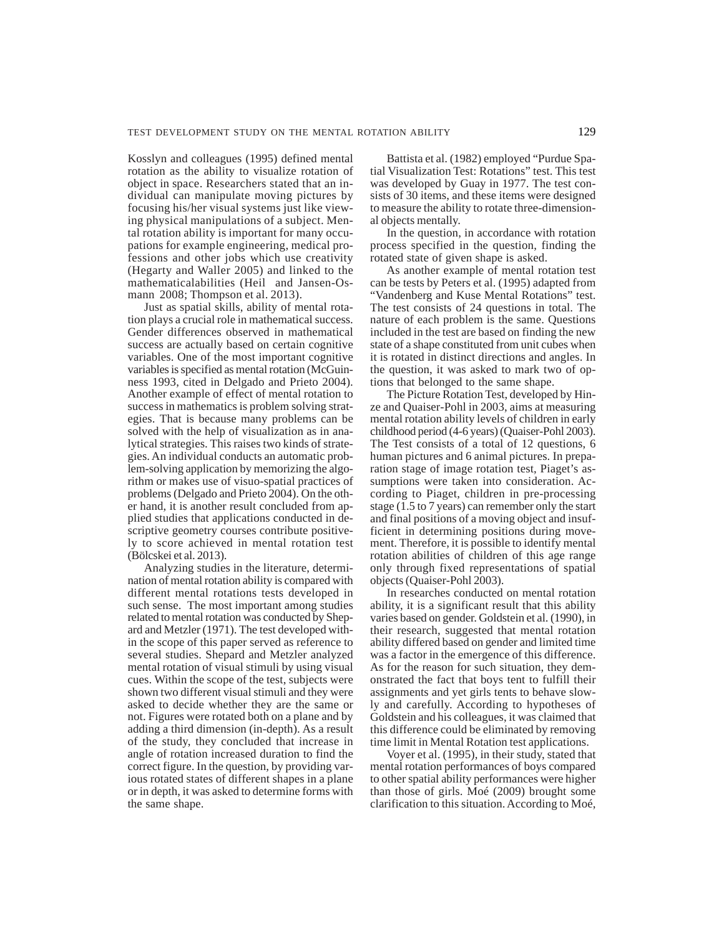Kosslyn and colleagues (1995) defined mental rotation as the ability to visualize rotation of object in space. Researchers stated that an individual can manipulate moving pictures by focusing his/her visual systems just like viewing physical manipulations of a subject. Mental rotation ability is important for many occupations for example engineering, medical professions and other jobs which use creativity (Hegarty and Waller 2005) and linked to the mathematicalabilities (Heil and Jansen-Osmann 2008; Thompson et al. 2013).

Just as spatial skills, ability of mental rotation plays a crucial role in mathematical success. Gender differences observed in mathematical success are actually based on certain cognitive variables. One of the most important cognitive variables is specified as mental rotation (McGuinness 1993, cited in Delgado and Prieto 2004). Another example of effect of mental rotation to success in mathematics is problem solving strategies. That is because many problems can be solved with the help of visualization as in analytical strategies. This raises two kinds of strategies. An individual conducts an automatic problem-solving application by memorizing the algorithm or makes use of visuo-spatial practices of problems (Delgado and Prieto 2004). On the other hand, it is another result concluded from applied studies that applications conducted in descriptive geometry courses contribute positively to score achieved in mental rotation test (Bölcskei et al. 2013).

Analyzing studies in the literature, determination of mental rotation ability is compared with different mental rotations tests developed in such sense. The most important among studies related to mental rotation was conducted by Shepard and Metzler (1971). The test developed within the scope of this paper served as reference to several studies. Shepard and Metzler analyzed mental rotation of visual stimuli by using visual cues. Within the scope of the test, subjects were shown two different visual stimuli and they were asked to decide whether they are the same or not. Figures were rotated both on a plane and by adding a third dimension (in-depth). As a result of the study, they concluded that increase in angle of rotation increased duration to find the correct figure. In the question, by providing various rotated states of different shapes in a plane or in depth, it was asked to determine forms with the same shape.

Battista et al. (1982) employed "Purdue Spatial Visualization Test: Rotations" test. This test was developed by Guay in 1977. The test consists of 30 items, and these items were designed to measure the ability to rotate three-dimensional objects mentally.

In the question, in accordance with rotation process specified in the question, finding the rotated state of given shape is asked.

As another example of mental rotation test can be tests by Peters et al. (1995) adapted from "Vandenberg and Kuse Mental Rotations" test. The test consists of 24 questions in total. The nature of each problem is the same. Questions included in the test are based on finding the new state of a shape constituted from unit cubes when it is rotated in distinct directions and angles. In the question, it was asked to mark two of options that belonged to the same shape.

The Picture Rotation Test, developed by Hinze and Quaiser-Pohl in 2003, aims at measuring mental rotation ability levels of children in early childhood period (4-6 years) (Quaiser-Pohl 2003). The Test consists of a total of 12 questions, 6 human pictures and 6 animal pictures. In preparation stage of image rotation test, Piaget's assumptions were taken into consideration. According to Piaget, children in pre-processing stage (1.5 to 7 years) can remember only the start and final positions of a moving object and insufficient in determining positions during movement. Therefore, it is possible to identify mental rotation abilities of children of this age range only through fixed representations of spatial objects (Quaiser-Pohl 2003).

In researches conducted on mental rotation ability, it is a significant result that this ability varies based on gender. Goldstein et al. (1990), in their research, suggested that mental rotation ability differed based on gender and limited time was a factor in the emergence of this difference. As for the reason for such situation, they demonstrated the fact that boys tent to fulfill their assignments and yet girls tents to behave slowly and carefully. According to hypotheses of Goldstein and his colleagues, it was claimed that this difference could be eliminated by removing time limit in Mental Rotation test applications.

Voyer et al. (1995), in their study, stated that mental rotation performances of boys compared to other spatial ability performances were higher than those of girls. Moé (2009) brought some clarification to this situation. According to Moé,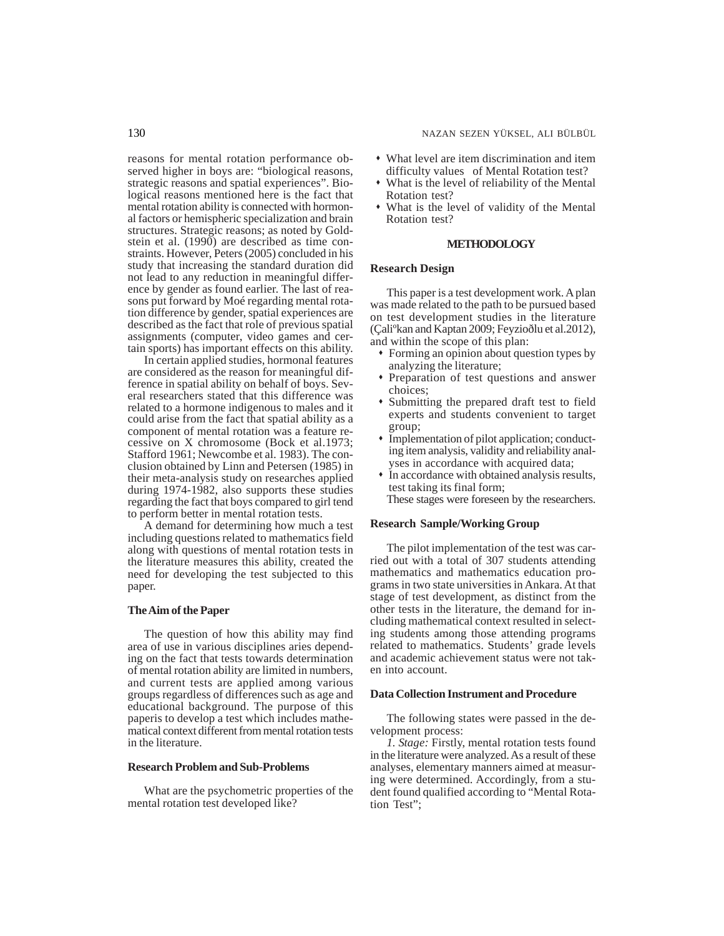### 130 NAZAN SEZEN YÜKSEL, ALI BÜLBÜL

reasons for mental rotation performance observed higher in boys are: "biological reasons, strategic reasons and spatial experiences". Biological reasons mentioned here is the fact that mental rotation ability is connected with hormonal factors or hemispheric specialization and brain structures. Strategic reasons; as noted by Goldstein et al. (1990) are described as time constraints. However, Peters (2005) concluded in his study that increasing the standard duration did not lead to any reduction in meaningful difference by gender as found earlier. The last of reasons put forward by Moé regarding mental rotation difference by gender, spatial experiences are described as the fact that role of previous spatial assignments (computer, video games and certain sports) has important effects on this ability.

In certain applied studies, hormonal features are considered as the reason for meaningful difference in spatial ability on behalf of boys. Several researchers stated that this difference was related to a hormone indigenous to males and it could arise from the fact that spatial ability as a component of mental rotation was a feature recessive on X chromosome (Bock et al.1973; Stafford 1961; Newcombe et al. 1983). The conclusion obtained by Linn and Petersen (1985) in their meta-analysis study on researches applied during 1974-1982, also supports these studies regarding the fact that boys compared to girl tend to perform better in mental rotation tests.

A demand for determining how much a test including questions related to mathematics field along with questions of mental rotation tests in the literature measures this ability, created the need for developing the test subjected to this paper.

### **The Aim of the Paper**

The question of how this ability may find area of use in various disciplines aries depending on the fact that tests towards determination of mental rotation ability are limited in numbers, and current tests are applied among various groups regardless of differences such as age and educational background. The purpose of this paperis to develop a test which includes mathematical context different from mental rotation tests in the literature.

# **Research Problem and Sub-Problems**

What are the psychometric properties of the mental rotation test developed like?

- What level are item discrimination and item difficulty values of Mental Rotation test?
- What is the level of reliability of the Mental Rotation test?
- What is the level of validity of the Mental Rotation test?

### **METHODOLOGY**

# **Research Design**

This paper is a test development work. A plan was made related to the path to be pursued based on test development studies in the literature (Çaliºkan and Kaptan 2009; Feyzioðlu et al.2012), and within the scope of this plan:

- Forming an opinion about question types by analyzing the literature;
- Preparation of test questions and answer choices;
- Submitting the prepared draft test to field experts and students convenient to target group;
- Implementation of pilot application; conducting item analysis, validity and reliability analyses in accordance with acquired data;
- In accordance with obtained analysis results, test taking its final form; These stages were foreseen by the researchers.

### **Research Sample/Working Group**

The pilot implementation of the test was carried out with a total of 307 students attending mathematics and mathematics education programs in two state universities in Ankara. At that stage of test development, as distinct from the other tests in the literature, the demand for including mathematical context resulted in selecting students among those attending programs related to mathematics. Students' grade levels and academic achievement status were not taken into account.

# **Data Collection Instrument and Procedure**

The following states were passed in the development process:

*1. Stage:* Firstly, mental rotation tests found in the literature were analyzed. As a result of these analyses, elementary manners aimed at measuring were determined. Accordingly, from a student found qualified according to "Mental Rotation Test";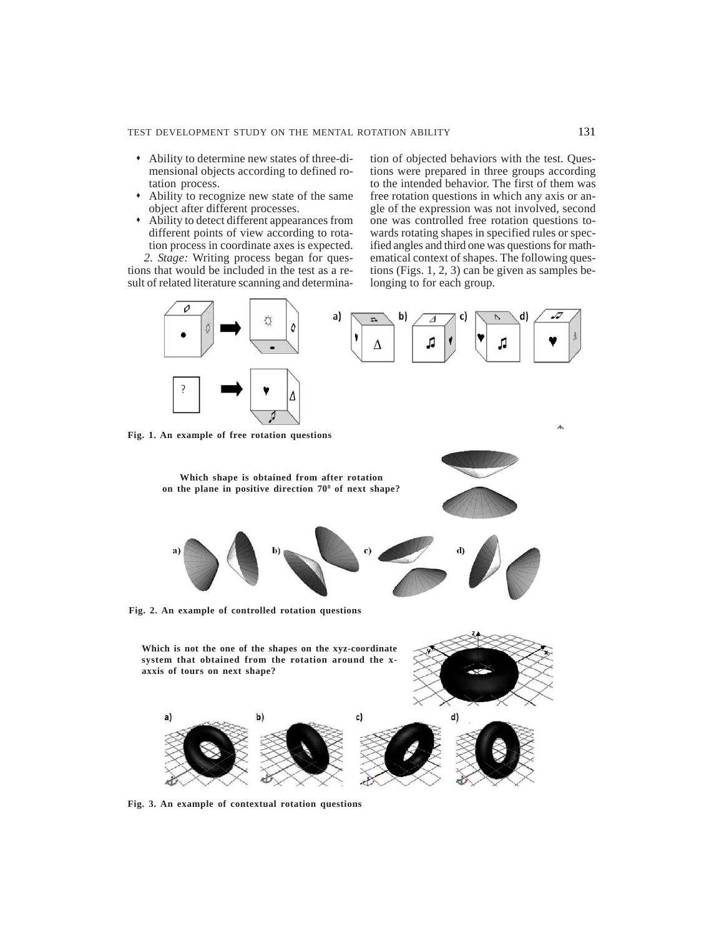- Ability to determine new states of three-dimensional objects according to defined rotation process.
- Ability to recognize new state of the same object after different processes.
- Ability to detect different appearances from different points of view according to rotation process in coordinate axes is expected.

*2. Stage:* Writing process began for questions that would be included in the test as a result of related literature scanning and determination of objected behaviors with the test. Questions were prepared in three groups according to the intended behavior. The first of them was free rotation questions in which any axis or angle of the expression was not involved, second one was controlled free rotation questions towards rotating shapes in specified rules or specified angles and third one was questions for mathematical context of shapes. The following questions (Figs. 1, 2, 3) can be given as samples belonging to for each group.



**Fig. 3. An example of contextual rotation questions**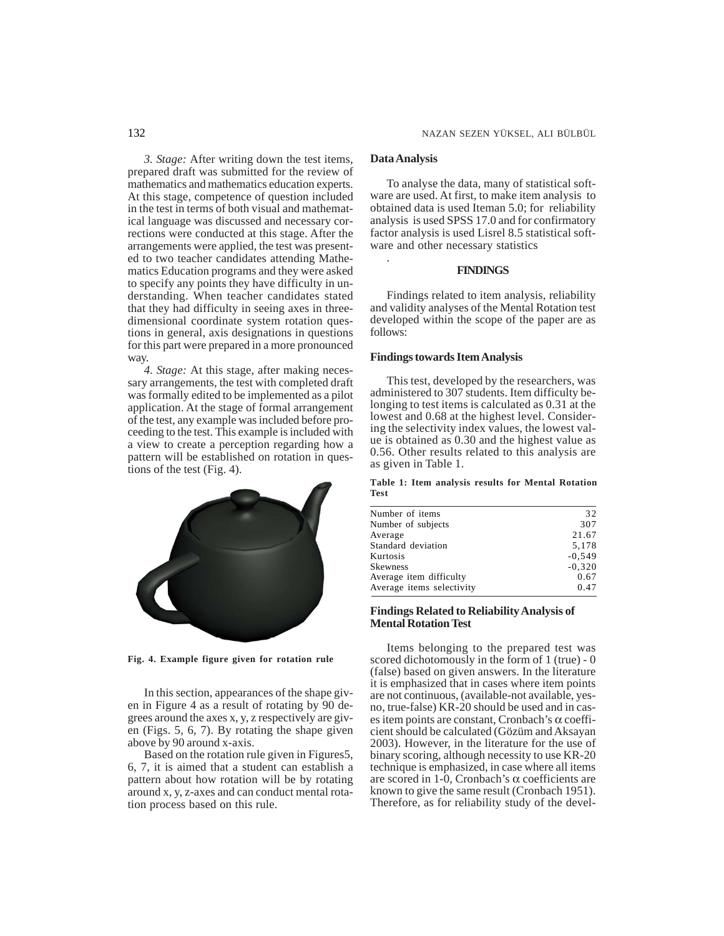*3. Stage:* After writing down the test items, prepared draft was submitted for the review of mathematics and mathematics education experts. At this stage, competence of question included in the test in terms of both visual and mathematical language was discussed and necessary corrections were conducted at this stage. After the arrangements were applied, the test was presented to two teacher candidates attending Mathematics Education programs and they were asked to specify any points they have difficulty in understanding. When teacher candidates stated that they had difficulty in seeing axes in threedimensional coordinate system rotation questions in general, axis designations in questions for this part were prepared in a more pronounced way.

*4. Stage:* At this stage, after making necessary arrangements, the test with completed draft was formally edited to be implemented as a pilot application. At the stage of formal arrangement of the test, any example was included before proceeding to the test. This example is included with a view to create a perception regarding how a pattern will be established on rotation in questions of the test (Fig. 4).



**Fig. 4. Example figure given for rotation rule**

In this section, appearances of the shape given in Figure 4 as a result of rotating by 90 degrees around the axes x, y, z respectively are given (Figs. 5, 6, 7). By rotating the shape given above by 90 around x-axis.

Based on the rotation rule given in Figures5, 6, 7, it is aimed that a student can establish a pattern about how rotation will be by rotating around x, y, z-axes and can conduct mental rotation process based on this rule.

# **Data Analysis**

.

To analyse the data, many of statistical software are used. At first, to make item analysis to obtained data is used Iteman 5.0; for reliability analysis is used SPSS 17.0 and for confirmatory factor analysis is used Lisrel 8.5 statistical software and other necessary statistics

# **FINDINGS**

Findings related to item analysis, reliability and validity analyses of the Mental Rotation test developed within the scope of the paper are as follows:

# **Findings towards Item Analysis**

This test, developed by the researchers, was administered to 307 students. Item difficulty belonging to test items is calculated as 0.31 at the lowest and 0.68 at the highest level. Considering the selectivity index values, the lowest value is obtained as 0.30 and the highest value as 0.56. Other results related to this analysis are as given in Table 1.

### **Table 1: Item analysis results for Mental Rotation Test**

| Number of items           | 32       |
|---------------------------|----------|
| Number of subjects        | 307      |
| Average                   | 21.67    |
| Standard deviation        | 5,178    |
| Kurtosis                  | $-0.549$ |
| Skewness                  | $-0.320$ |
| Average item difficulty   | 0.67     |
| Average items selectivity | 0.47     |
|                           |          |

# **Findings Related to Reliability Analysis of Mental Rotation Test**

Items belonging to the prepared test was scored dichotomously in the form of 1 (true) - 0 (false) based on given answers. In the literature it is emphasized that in cases where item points are not continuous, (available-not available, yesno, true-false) KR-20 should be used and in cases item points are constant, Cronbach's α coefficient should be calculated (Gözüm and Aksayan 2003). However, in the literature for the use of binary scoring, although necessity to use KR-20 technique is emphasized, in case where all items are scored in 1-0, Cronbach's α coefficients are known to give the same result (Cronbach 1951). Therefore, as for reliability study of the devel-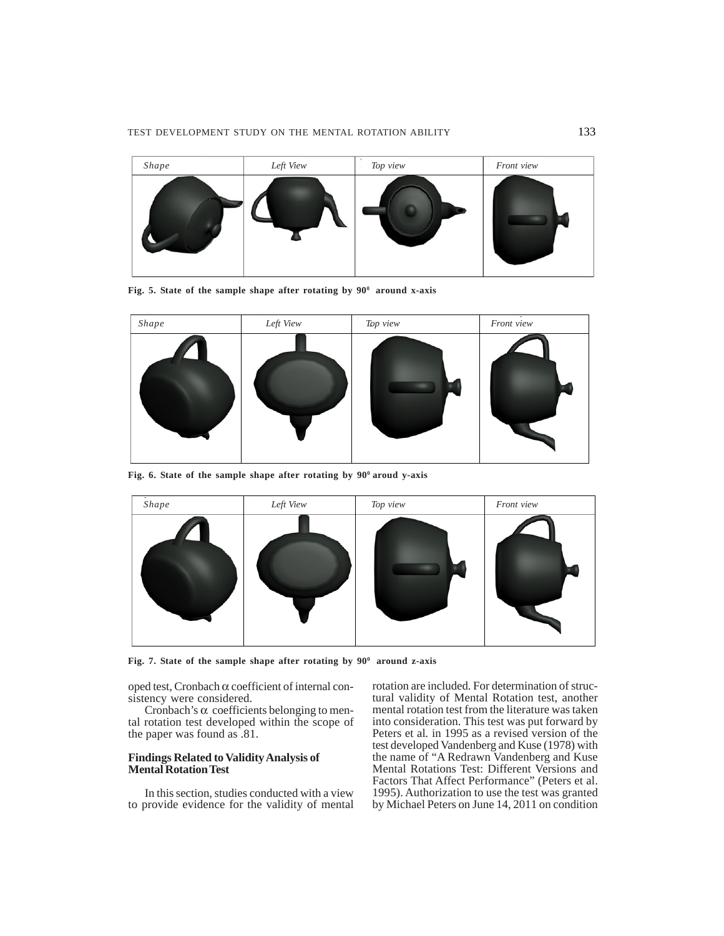

Fig. 5. State of the sample shape after rotating by  $90^{\circ}$  around x-axis



Fig. 6. State of the sample shape after rotating by  $90^{\circ}$  aroud y-axis



Fig. 7. State of the sample shape after rotating by 90<sup>0</sup> around z-axis

oped test, Cronbach α coefficient of internal consistency were considered.

Cronbach's  $\alpha$  coefficients belonging to mental rotation test developed within the scope of the paper was found as .81.

# **Findings Related to Validity Analysis of Mental Rotation Test**

In this section, studies conducted with a view to provide evidence for the validity of mental rotation are included. For determination of structural validity of Mental Rotation test, another mental rotation test from the literature was taken into consideration. This test was put forward by Peters et al*.* in 1995 as a revised version of the test developed Vandenberg and Kuse (1978) with the name of "A Redrawn Vandenberg and Kuse Mental Rotations Test: Different Versions and Factors That Affect Performance" (Peters et al. 1995). Authorization to use the test was granted by Michael Peters on June 14, 2011 on condition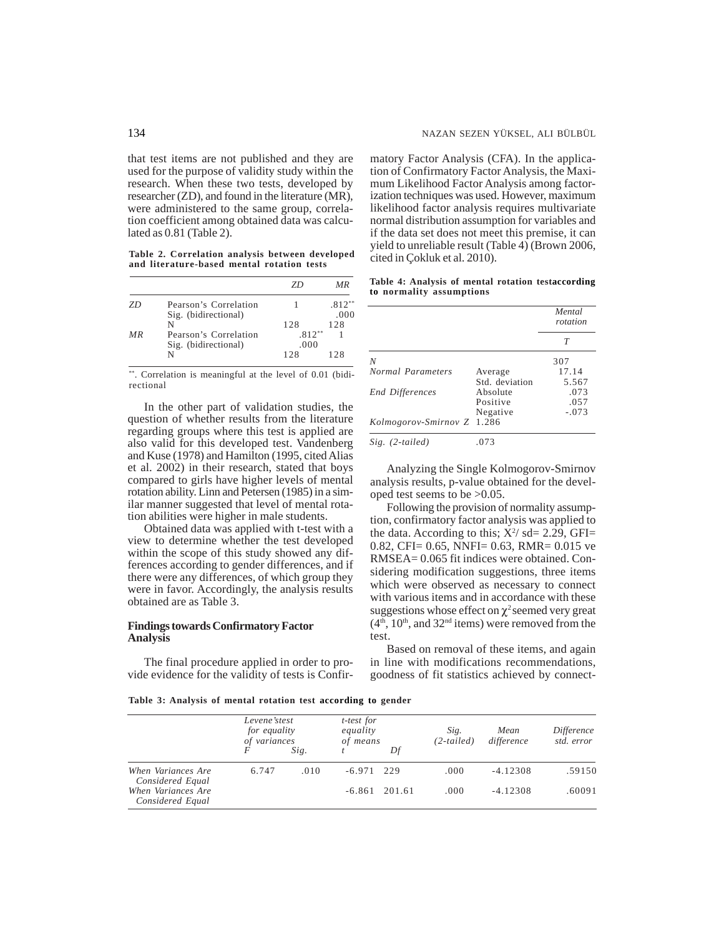that test items are not published and they are used for the purpose of validity study within the research. When these two tests, developed by researcher (ZD), and found in the literature (MR), were administered to the same group, correlation coefficient among obtained data was calculated as 0.81 (Table 2).

**Table 2. Correlation analysis between developed and literature-based mental rotation tests**

|     |                                               | 7Г               | МR          |
|-----|-----------------------------------------------|------------------|-------------|
| 7D  | Pearson's Correlation                         |                  | $.812***$   |
|     | Sig. (bidirectional)<br>N                     | 12.8             | .000<br>128 |
| M R | Pearson's Correlation<br>Sig. (bidirectional) | $.812**$<br>.000 |             |
|     | N                                             | 128              | 128         |

\*\*. Correlation is meaningful at the level of 0.01 (bidirectional

In the other part of validation studies, the question of whether results from the literature regarding groups where this test is applied are also valid for this developed test. Vandenberg and Kuse (1978) and Hamilton (1995, cited Alias et al. 2002) in their research, stated that boys compared to girls have higher levels of mental rotation ability. Linn and Petersen (1985) in a similar manner suggested that level of mental rotation abilities were higher in male students.

Obtained data was applied with t-test with a view to determine whether the test developed within the scope of this study showed any differences according to gender differences, and if there were any differences, of which group they were in favor. Accordingly, the analysis results obtained are as Table 3.

# **Findings towards Confirmatory Factor Analysis**

The final procedure applied in order to provide evidence for the validity of tests is Confirmatory Factor Analysis (CFA). In the application of Confirmatory Factor Analysis, the Maximum Likelihood Factor Analysis among factorization techniques was used. However, maximum likelihood factor analysis requires multivariate normal distribution assumption for variables and if the data set does not meet this premise, it can yield to unreliable result (Table 4) (Brown 2006, cited in Çokluk et al. 2010).

**Table 4: Analysis of mental rotation testaccording to normality assumptions**

|                            |                | Mental<br>rotation |  |
|----------------------------|----------------|--------------------|--|
|                            |                | T                  |  |
| N                          |                | 307                |  |
| Normal Parameters          | Average        | 17.14              |  |
|                            | Std. deviation | 5.567              |  |
| <b>End Differences</b>     | Absolute       | .073               |  |
|                            | Positive       | .057               |  |
|                            | Negative       | $-.073$            |  |
| Kolmogorov-Smirnov Z 1.286 |                |                    |  |
| $Sig.$ (2-tailed)          | .073           |                    |  |

Analyzing the Single Kolmogorov-Smirnov analysis results, p-value obtained for the developed test seems to be >0.05.

Following the provision of normality assumption, confirmatory factor analysis was applied to the data. According to this;  $X^2$  sd= 2.29, GFI= 0.82, CFI= 0.65, NNFI= 0.63, RMR= 0.015 ve RMSEA= 0.065 fit indices were obtained. Considering modification suggestions, three items which were observed as necessary to connect with various items and in accordance with these suggestions whose effect on  $\chi^2$  seemed very great  $(4<sup>th</sup>, 10<sup>th</sup>, and 32<sup>nd</sup> items)$  were removed from the test.

Based on removal of these items, and again in line with modifications recommendations, goodness of fit statistics achieved by connect-

**Table 3: Analysis of mental rotation test according to gender**

|                                        | Levene'stest<br><i>for equality</i><br>of variances |      | t-test for<br>equality<br>of means |                 | Sig.<br>$(2-tailed)$ | Mean<br>difference | Difference<br>std. error |
|----------------------------------------|-----------------------------------------------------|------|------------------------------------|-----------------|----------------------|--------------------|--------------------------|
|                                        |                                                     | Sig. |                                    | Df              |                      |                    |                          |
| When Variances Are<br>Considered Equal | 6.747                                               | .010 | $-6.971$ 229                       |                 | .000                 | $-4.12308$         | .59150                   |
| When Variances Are<br>Considered Equal |                                                     |      |                                    | $-6.861$ 201.61 | .000                 | $-4.12308$         | .60091                   |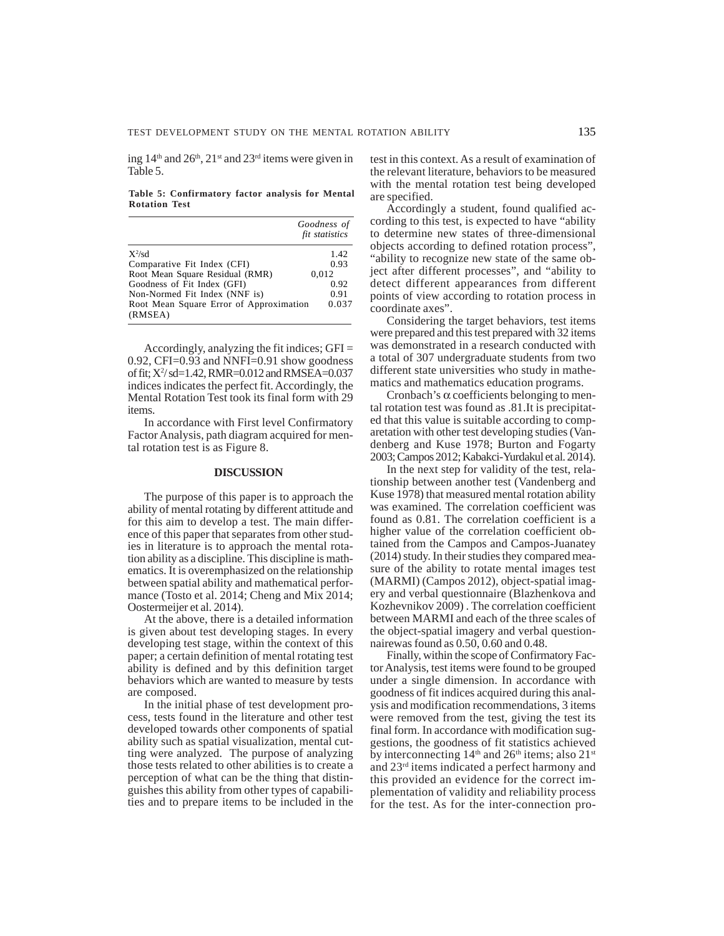ing  $14<sup>th</sup>$  and  $26<sup>th</sup>$ ,  $21<sup>st</sup>$  and  $23<sup>rd</sup>$  items were given in Table 5.

**Table 5: Confirmatory factor analysis for Mental Rotation Test**

|                                                    | Goodness of<br>fit statistics |
|----------------------------------------------------|-------------------------------|
| $X^2$ /sd                                          | 1.42                          |
| Comparative Fit Index (CFI)                        | 0.93                          |
| Root Mean Square Residual (RMR)                    | 0.012                         |
| Goodness of Fit Index (GFI)                        | 0.92                          |
| Non-Normed Fit Index (NNF is)                      | 0.91                          |
| Root Mean Square Error of Approximation<br>(RMSEA) | 0.037                         |

Accordingly, analyzing the fit indices; GFI = 0.92, CFI=0.93 and NNFI=0.91 show goodness of fit; X2 / sd=1.42, RMR=0.012 and RMSEA=0.037 indices indicates the perfect fit. Accordingly, the Mental Rotation Test took its final form with 29 items.

In accordance with First level Confirmatory Factor Analysis, path diagram acquired for mental rotation test is as Figure 8.

# **DISCUSSION**

The purpose of this paper is to approach the ability of mental rotating by different attitude and for this aim to develop a test. The main difference of this paper that separates from other studies in literature is to approach the mental rotation ability as a discipline. This discipline is mathematics. It is overemphasized on the relationship between spatial ability and mathematical performance (Tosto et al. 2014; Cheng and Mix 2014; Oostermeijer et al. 2014).

At the above, there is a detailed information is given about test developing stages. In every developing test stage, within the context of this paper; a certain definition of mental rotating test ability is defined and by this definition target behaviors which are wanted to measure by tests are composed.

In the initial phase of test development process, tests found in the literature and other test developed towards other components of spatial ability such as spatial visualization, mental cutting were analyzed. The purpose of analyzing those tests related to other abilities is to create a perception of what can be the thing that distinguishes this ability from other types of capabilities and to prepare items to be included in the test in this context. As a result of examination of the relevant literature, behaviors to be measured with the mental rotation test being developed are specified.

Accordingly a student, found qualified according to this test, is expected to have "ability to determine new states of three-dimensional objects according to defined rotation process", "ability to recognize new state of the same object after different processes", and "ability to detect different appearances from different points of view according to rotation process in coordinate axes".

Considering the target behaviors, test items were prepared and this test prepared with 32 items was demonstrated in a research conducted with a total of 307 undergraduate students from two different state universities who study in mathematics and mathematics education programs.

Cronbach's  $\alpha$  coefficients belonging to mental rotation test was found as .81.It is precipitated that this value is suitable according to comparetation with other test developing studies (Vandenberg and Kuse 1978; Burton and Fogarty 2003; Campos 2012; Kabakci-Yurdakul et al. 2014).

In the next step for validity of the test, relationship between another test (Vandenberg and Kuse 1978) that measured mental rotation ability was examined. The correlation coefficient was found as 0.81. The correlation coefficient is a higher value of the correlation coefficient obtained from the Campos and Campos-Juanatey (2014) study. In their studies they compared measure of the ability to rotate mental images test (MARMI) (Campos 2012), object-spatial imagery and verbal questionnaire (Blazhenkova and Kozhevnikov 2009) . The correlation coefficient between MARMI and each of the three scales of the object-spatial imagery and verbal questionnairewas found as 0.50, 0.60 and 0.48.

Finally, within the scope of Confirmatory Factor Analysis, test items were found to be grouped under a single dimension. In accordance with goodness of fit indices acquired during this analysis and modification recommendations, 3 items were removed from the test, giving the test its final form. In accordance with modification suggestions, the goodness of fit statistics achieved by interconnecting  $14<sup>th</sup>$  and  $26<sup>th</sup>$  items; also  $21<sup>st</sup>$ and 23rd items indicated a perfect harmony and this provided an evidence for the correct implementation of validity and reliability process for the test. As for the inter-connection pro-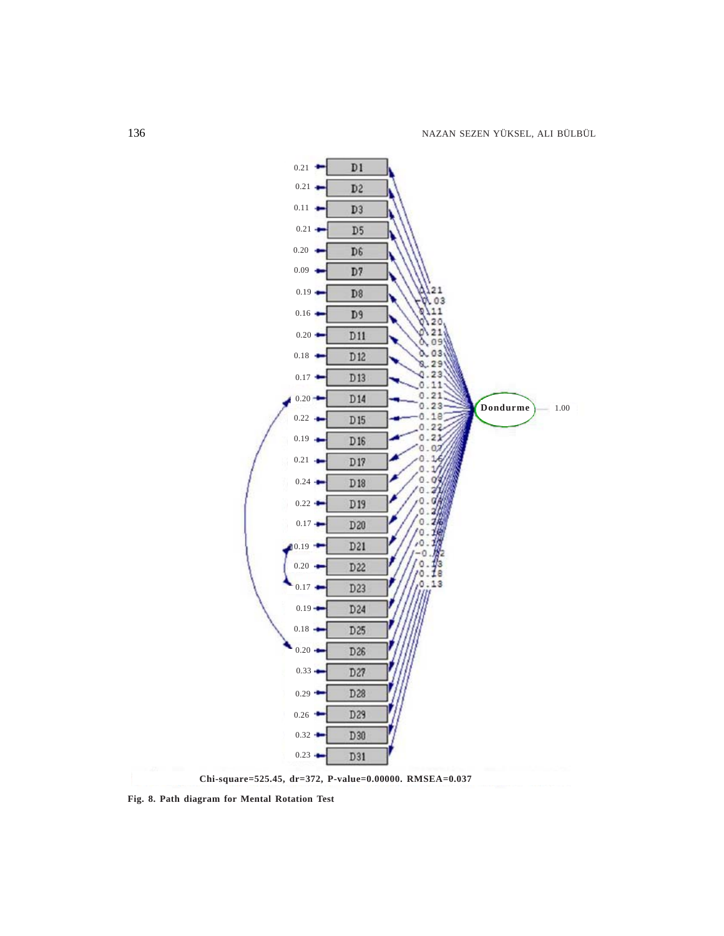

**Fig. 8. Path diagram for Mental Rotation Test**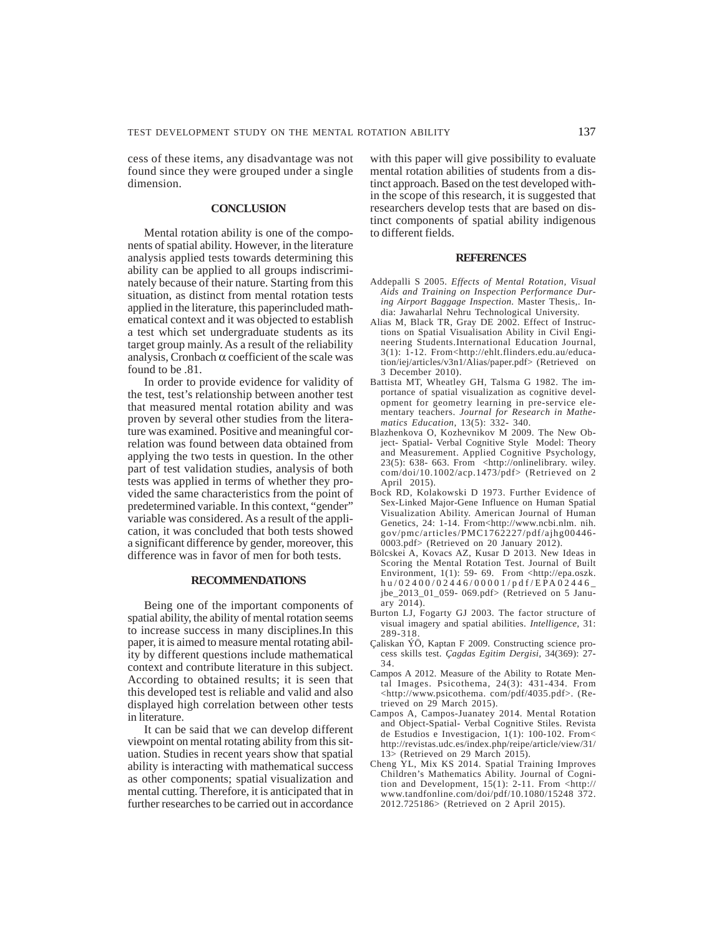cess of these items, any disadvantage was not found since they were grouped under a single dimension.

# **CONCLUSION**

Mental rotation ability is one of the components of spatial ability. However, in the literature analysis applied tests towards determining this ability can be applied to all groups indiscriminately because of their nature. Starting from this situation, as distinct from mental rotation tests applied in the literature, this paperincluded mathematical context and it was objected to establish a test which set undergraduate students as its target group mainly. As a result of the reliability analysis, Cronbach  $\alpha$  coefficient of the scale was found to be .81.

In order to provide evidence for validity of the test, test's relationship between another test that measured mental rotation ability and was proven by several other studies from the literature was examined. Positive and meaningful correlation was found between data obtained from applying the two tests in question. In the other part of test validation studies, analysis of both tests was applied in terms of whether they provided the same characteristics from the point of predetermined variable. In this context, "gender" variable was considered. As a result of the application, it was concluded that both tests showed a significant difference by gender, moreover, this difference was in favor of men for both tests.

#### **RECOMMENDATIONS**

Being one of the important components of spatial ability, the ability of mental rotation seems to increase success in many disciplines.In this paper, it is aimed to measure mental rotating ability by different questions include mathematical context and contribute literature in this subject. According to obtained results; it is seen that this developed test is reliable and valid and also displayed high correlation between other tests in literature.

It can be said that we can develop different viewpoint on mental rotating ability from this situation. Studies in recent years show that spatial ability is interacting with mathematical success as other components; spatial visualization and mental cutting. Therefore, it is anticipated that in further researches to be carried out in accordance with this paper will give possibility to evaluate mental rotation abilities of students from a distinct approach. Based on the test developed within the scope of this research, it is suggested that researchers develop tests that are based on distinct components of spatial ability indigenous to different fields.

#### **REFERENCES**

- Addepalli S 2005. *Effects of Mental Rotation, Visual Aids and Training on Inspection Performance During Airport Baggage Inspection*. Master Thesis,. India: Jawaharlal Nehru Technological University.
- Alias M, Black TR, Gray DE 2002. Effect of Instructions on Spatial Visualisation Ability in Civil Engineering Students.International Education Journal, 3(1): 1-12. From<http://ehlt.flinders.edu.au/education/iej/articles/v3n1/Alias/paper.pdf> (Retrieved on 3 December 2010).
- Battista MT, Wheatley GH, Talsma G 1982. The importance of spatial visualization as cognitive development for geometry learning in pre-service elementary teachers. *Journal for Research in Mathematics Education*, 13(5): 332- 340.
- Blazhenkova O, Kozhevnikov M 2009. The New Object- Spatial- Verbal Cognitive Style Model: Theory and Measurement. Applied Cognitive Psychology, 23(5): 638- 663. From <http://onlinelibrary. wiley. com/doi/10.1002/acp.1473/pdf> (Retrieved on 2 April 2015).
- Bock RD, Kolakowski D 1973. Further Evidence of Sex-Linked Major-Gene Influence on Human Spatial Visualization Ability. American Journal of Human Genetics, 24: 1-14. From<http://www.ncbi.nlm. nih. gov/pmc/articles/PMC1762227/pdf/ajhg00446- 0003.pdf> (Retrieved on 20 January 2012).
- Bölcskei A, Kovacs AZ, Kusar D 2013. New Ideas in Scoring the Mental Rotation Test. Journal of Built Environment, 1(1): 59- 69. From <http://epa.oszk. hu/02400/02446/00001/pdf/EPA02446\_ jbe\_2013\_01\_059- 069.pdf> (Retrieved on 5 January  $2014\overline{)}$ .
- Burton LJ, Fogarty GJ 2003. The factor structure of visual imagery and spatial abilities. *Intelligence,* 31: 289-318.
- Çaliskan ÝÖ, Kaptan F 2009. Constructing science process skills test. *Çagdas Egitim Dergisi,* 34(369): 27- 34.
- Campos A 2012. Measure of the Ability to Rotate Mental Images. Psicothema, 24(3): 431-434. From <http://www.psicothema. com/pdf/4035.pdf>. (Retrieved on 29 March 2015).
- Campos A, Campos-Juanatey 2014. Mental Rotation and Object-Spatial- Verbal Cognitive Stiles. Revista de Estudios e Investigacion,  $1(1)$ : 100-102. From< http://revistas.udc.es/index.php/reipe/article/view/31/ 13> (Retrieved on 29 March 2015).
- Cheng YL, Mix KS 2014. Spatial Training Improves Children's Mathematics Ability. Journal of Cognition and Development, 15(1): 2-11. From <http:// www.tandfonline.com/doi/pdf/10.1080/15248 372. 2012.725186> (Retrieved on 2 April 2015).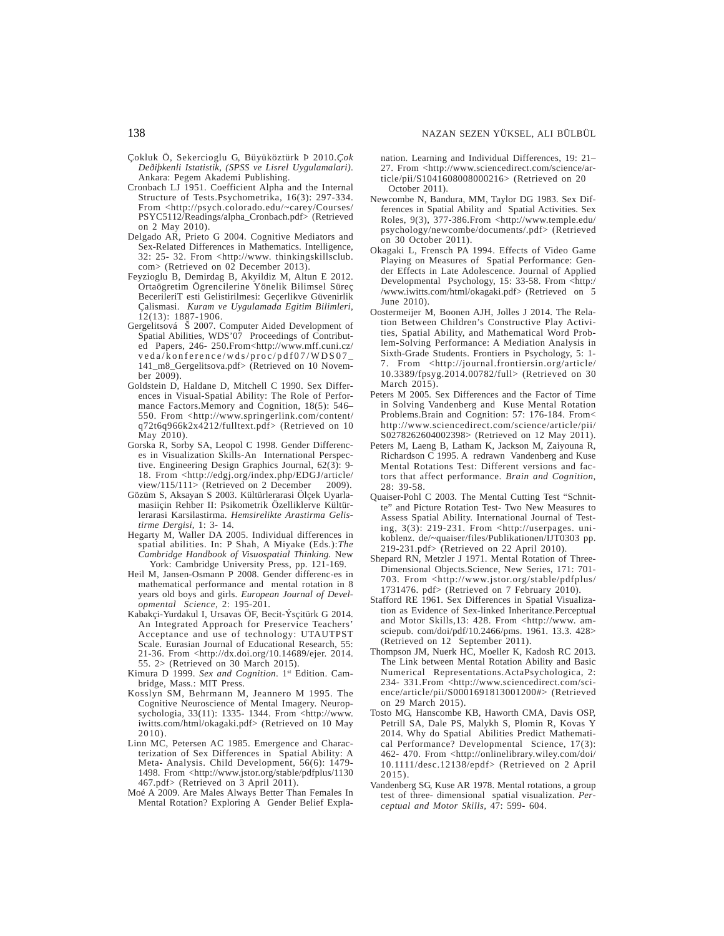- Çokluk Ö, Sekercioglu G, Büyüköztürk Þ 2010.*Çok Deðiþkenli Istatistik, (SPSS ve Lisrel Uygulamalari)*. Ankara: Pegem Akademi Publishing.
- Cronbach LJ 1951. Coefficient Alpha and the Internal Structure of Tests.Psychometrika, 16(3): 297-334. From <http://psych.colorado.edu/~carey/Courses/ PSYC5112/Readings/alpha\_Cronbach.pdf> (Retrieved on 2 May 2010).
- Delgado AR, Prieto G 2004. Cognitive Mediators and Sex-Related Differences in Mathematics. Intelligence, 32: 25- 32. From <http://www. thinkingskillsclub. com> (Retrieved on 02 December 2013).
- Feyzioglu B, Demirdag B, Akyildiz M, Altun E 2012. Ortaögretim Ögrencilerine Yönelik Bilimsel Süreç BecerileriT esti Gelistirilmesi: Geçerlikve Güvenirlik Çalismasi. *Kuram ve Uygulamada Egitim Bilimleri*, 12(13): 1887-1906.
- Gergelitsová Š 2007. Computer Aided Development of Spatial Abilities, WDS'07 Proceedings of Contributed Papers, 246- 250.From<http://www.mff.cuni.cz/ veda/konference/wds/proc/pdf07/WDS07\_ 141\_m8\_Gergelitsova.pdf> (Retrieved on 10 November 2009).
- Goldstein D, Haldane D, Mitchell C 1990. Sex Differences in Visual-Spatial Ability: The Role of Performance Factors.Memory and Cognition, 18(5): 546– 550. From <http://www.springerlink.com/content/ q72t6q966k2x4212/fulltext.pdf> (Retrieved on 10 May 2010).
- Gorska R, Sorby SA, Leopol C 1998. Gender Differences in Visualization Skills-An International Perspective. Engineering Design Graphics Journal, 62(3): 9- 18. From <http://edgj.org/index.php/EDGJ/article/ view/115/111> (Retrieved on 2 December 2009).
- Gözüm S, Aksayan S 2003. Kültürlerarasi Ölçek Uyarlamasiiçin Rehber II: Psikometrik Özelliklerve Kültürlerarasi Karsilastirma. *Hemsirelikte Arastirma Gelistirme Dergisi*, 1: 3- 14.
- Hegarty M, Waller DA 2005. Individual differences in spatial abilities. In: P Shah, A Miyake (Eds.):*The Cambridge Handbook of Visuospatial Thinking.* New York: Cambridge University Press, pp. 121-169.
- Heil M, Jansen-Osmann P 2008. Gender differenc-es in mathematical performance and mental rotation in 8 years old boys and girls. *European Journal of Developmental Science*, 2: 195-201.
- Kabakçi-Yurdakul I, Ursavas ÖF, Becit-Ýsçitürk G 2014. An Integrated Approach for Preservice Teachers' Acceptance and use of technology: UTAUTPST Scale. Eurasian Journal of Educational Research, 55: 21-36. From <http://dx.doi.org/10.14689/ejer. 2014. 55. 2> (Retrieved on 30 March 2015).
- Kimura D 1999. *Sex and Cognition*. 1st Edition. Cambridge, Mass.: MIT Press.
- Kosslyn SM, Behrmann M, Jeannero M 1995. The Cognitive Neuroscience of Mental Imagery. Neuropsychologia, 33(11): 1335- 1344. From <http://www. iwitts.com/html/okagaki.pdf> (Retrieved on 10 May 2010).
- Linn MC, Petersen AC 1985. Emergence and Characterization of Sex Differences in Spatial Ability: A Meta- Analysis. Child Development, 56(6): 1479- 1498. From <http://www.jstor.org/stable/pdfplus/1130 467.pdf> (Retrieved on 3 April 2011).
- Moé A 2009. Are Males Always Better Than Females In Mental Rotation? Exploring A Gender Belief Expla-

nation. Learning and Individual Differences, 19: 21– 27. From <http://www.sciencedirect.com/science/article/pii/S1041608008000216> (Retrieved on 20 October 2011).

- Newcombe N, Bandura, MM, Taylor DG 1983. Sex Differences in Spatial Ability and Spatial Activities. Sex Roles, 9(3), 377-386.From <http://www.temple.edu/ psychology/newcombe/documents/.pdf> (Retrieved on 30 October 2011).
- Okagaki L, Frensch PA 1994. Effects of Video Game Playing on Measures of Spatial Performance: Gender Effects in Late Adolescence. Journal of Applied Developmental Psychology, 15: 33-58. From <http:/ /www.iwitts.com/html/okagaki.pdf> (Retrieved on 5 June 2010).
- Oostermeijer M, Boonen AJH, Jolles J 2014. The Relation Between Children's Constructive Play Activities, Spatial Ability, and Mathematical Word Problem-Solving Performance: A Mediation Analysis in Sixth-Grade Students. Frontiers in Psychology, 5: 1- From <http://journal.frontiersin.org/article/ 10.3389/fpsyg.2014.00782/full> (Retrieved on 30 March 2015).
- Peters M 2005. Sex Differences and the Factor of Time in Solving Vandenberg and Kuse Mental Rotation Problems.Brain and Cognition: 57: 176-184. From< http://www.sciencedirect.com/science/article/pii/ S0278262604002398> (Retrieved on 12 May 2011).
- Peters M, Laeng B, Latham K, Jackson M, Zaiyouna R, Richardson C 1995. A redrawn Vandenberg and Kuse Mental Rotations Test: Different versions and factors that affect performance. *Brain and Cognition*, 28: 39-58.
- Quaiser-Pohl C 2003. The Mental Cutting Test "Schnitte" and Picture Rotation Test- Two New Measures to Assess Spatial Ability. International Journal of Testing, 3(3): 219-231. From <http://userpages. unikoblenz. de/~quaiser/files/Publikationen/IJT0303 pp. 219-231.pdf> (Retrieved on 22 April 2010).
- Shepard RN, Metzler J 1971. Mental Rotation of Three-Dimensional Objects.Science, New Series, 171: 701- 703. From <http://www.jstor.org/stable/pdfplus/ 1731476. pdf> (Retrieved on 7 February 2010).
- Stafford RE 1961. Sex Differences in Spatial Visualization as Evidence of Sex-linked Inheritance.Perceptual and Motor Skills, 13: 428. From <http://www. amsciepub. com/doi/pdf/10.2466/pms. 1961. 13.3. 428> (Retrieved on 12 September 2011).
- Thompson JM, Nuerk HC, Moeller K, Kadosh RC 2013. The Link between Mental Rotation Ability and Basic Numerical Representations.ActaPsychologica, 2: 234- 331.From <http://www.sciencedirect.com/science/article/pii/S0001691813001200#> (Retrieved on 29 March 2015).
- Tosto MG, Hanscombe KB, Haworth CMA, Davis OSP, Petrill SA, Dale PS, Malykh S, Plomin R, Kovas Y 2014. Why do Spatial Abilities Predict Mathematical Performance? Developmental Science, 17(3): 462- 470. From <http://onlinelibrary.wiley.com/doi/ 10.1111/desc.12138/epdf> (Retrieved on 2 April 2015).
- Vandenberg SG, Kuse AR 1978. Mental rotations, a group test of three- dimensional spatial visualization. *Perceptual and Motor Skills,* 47: 599- 604.